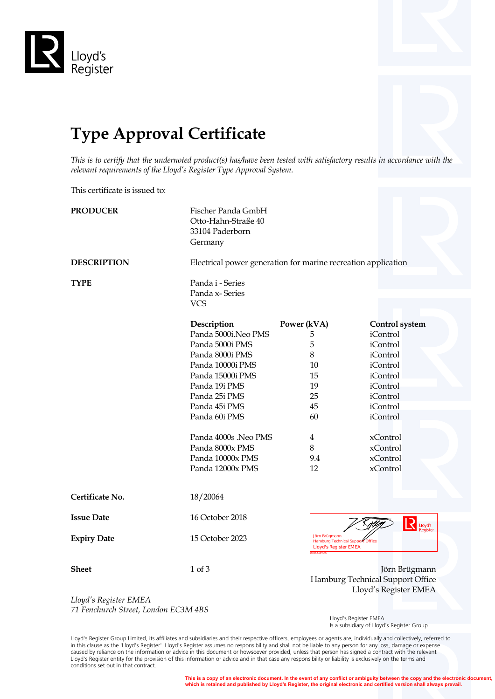

## **Type Approval Certificate**

*This is to certify that the undernoted product(s) has/have been tested with satisfactory results in accordance with the relevant requirements of the Lloyd's Register Type Approval System.*

This certificate is issued to:

| <b>PRODUCER</b>    | Fischer Panda GmbH<br>Otto-Hahn-Straße 40<br>33104 Paderborn<br>Germany                                                                                                                                                                                                 |                                                                                                    |                                                                                                                                                                                   |  |
|--------------------|-------------------------------------------------------------------------------------------------------------------------------------------------------------------------------------------------------------------------------------------------------------------------|----------------------------------------------------------------------------------------------------|-----------------------------------------------------------------------------------------------------------------------------------------------------------------------------------|--|
| <b>DESCRIPTION</b> |                                                                                                                                                                                                                                                                         | Electrical power generation for marine recreation application                                      |                                                                                                                                                                                   |  |
| <b>TYPE</b>        | Panda i - Series<br>Panda x-Series<br><b>VCS</b>                                                                                                                                                                                                                        |                                                                                                    |                                                                                                                                                                                   |  |
|                    | Description<br>Panda 5000i.Neo PMS<br>Panda 5000i PMS<br>Panda 8000i PMS<br>Panda 10000i PMS<br>Panda 15000i PMS<br>Panda 19i PMS<br>Panda 25i PMS<br>Panda 45i PMS<br>Panda 60i PMS<br>Panda 4000s .Neo PMS<br>Panda 8000x PMS<br>Panda 10000x PMS<br>Panda 12000x PMS | Power (kVA)<br>5<br>5<br>8<br>10<br>15<br>19<br>25<br>45<br>60<br>$\overline{4}$<br>8<br>9.4<br>12 | <b>Control</b> system<br>iControl<br>iControl<br>iControl<br>iControl<br>iControl<br>iControl<br>iControl<br>iControl<br>iControl<br>xControl<br>xControl<br>xControl<br>xControl |  |
| Certificate No.    | 18/20064                                                                                                                                                                                                                                                                |                                                                                                    |                                                                                                                                                                                   |  |
| <b>Issue Date</b>  | 16 October 2018                                                                                                                                                                                                                                                         |                                                                                                    | $\overline{\mathcal{L}}$<br>Lloyd's                                                                                                                                               |  |
| <b>Expiry Date</b> | 15 October 2023                                                                                                                                                                                                                                                         | Jörn Brügmann<br>Hamburg Technical Support Office<br><b>Lloyd's Register EMEA</b>                  |                                                                                                                                                                                   |  |
| <b>Sheet</b>       | 1 of 3                                                                                                                                                                                                                                                                  |                                                                                                    | Jörn Brügmann<br>Hamburg Technical Support Office<br>Lloyd's Register EMEA                                                                                                        |  |

*Lloyd's Register EMEA 71 Fenchurch Street, London EC3M 4BS*

 Lloyd's Register EMEA Is a subsidiary of Lloyd's Register Group

Lloyd's Register Group Limited, its affiliates and subsidiaries and their respective officers, employees or agents are, individually and collectively, referred to in this clause as the 'Lloyd's Register'. Lloyd's Register assumes no responsibility and shall not be liable to any person for any loss, damage or expense caused by reliance on the information or advice in this document or howsoever provided, unless that person has signed a contract with the relevant Lloyd's Register entity for the provision of this information or advice and in that case any responsibility or liability is exclusively on the terms and conditions set out in that contract.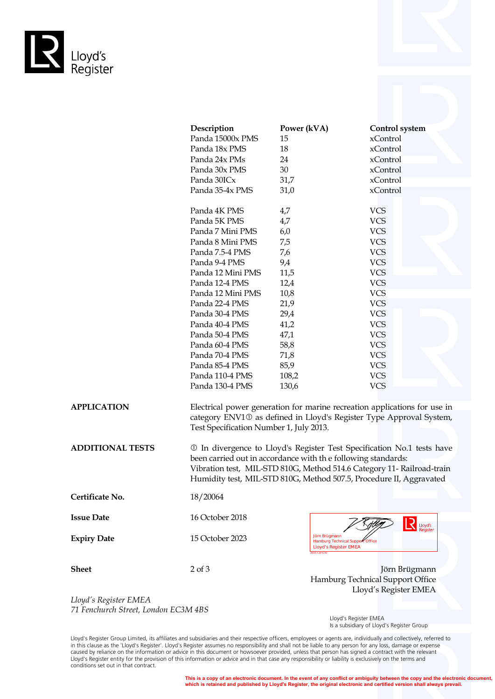

|                         | Description                             | Power (kVA)                                                                                                                                                                                                                                                                              | <b>Control</b> system |  |  |
|-------------------------|-----------------------------------------|------------------------------------------------------------------------------------------------------------------------------------------------------------------------------------------------------------------------------------------------------------------------------------------|-----------------------|--|--|
|                         | Panda 15000x PMS                        | 15                                                                                                                                                                                                                                                                                       | xControl              |  |  |
|                         | Panda 18x PMS                           | 18                                                                                                                                                                                                                                                                                       | xControl              |  |  |
|                         | Panda 24x PMs                           | 24                                                                                                                                                                                                                                                                                       | xControl              |  |  |
|                         | Panda 30x PMS                           | 30                                                                                                                                                                                                                                                                                       | xControl              |  |  |
|                         | Panda 30ICx                             | 31,7                                                                                                                                                                                                                                                                                     | xControl              |  |  |
|                         | Panda 35-4x PMS                         | 31,0                                                                                                                                                                                                                                                                                     | xControl              |  |  |
|                         | Panda 4K PMS                            | 4,7                                                                                                                                                                                                                                                                                      | <b>VCS</b>            |  |  |
|                         | Panda 5K PMS                            | 4,7                                                                                                                                                                                                                                                                                      | <b>VCS</b>            |  |  |
|                         | Panda 7 Mini PMS                        | 6,0                                                                                                                                                                                                                                                                                      | <b>VCS</b>            |  |  |
|                         | Panda 8 Mini PMS                        | 7,5                                                                                                                                                                                                                                                                                      | <b>VCS</b>            |  |  |
|                         | Panda 7.5-4 PMS                         | 7,6                                                                                                                                                                                                                                                                                      | <b>VCS</b>            |  |  |
|                         | Panda 9-4 PMS                           | 9,4                                                                                                                                                                                                                                                                                      | <b>VCS</b>            |  |  |
|                         | Panda 12 Mini PMS                       | 11,5                                                                                                                                                                                                                                                                                     | <b>VCS</b>            |  |  |
|                         | Panda 12-4 PMS                          | 12,4                                                                                                                                                                                                                                                                                     | <b>VCS</b>            |  |  |
|                         | Panda 12 Mini PMS                       | 10,8                                                                                                                                                                                                                                                                                     | <b>VCS</b>            |  |  |
|                         | Panda 22-4 PMS                          | 21,9                                                                                                                                                                                                                                                                                     | <b>VCS</b>            |  |  |
|                         | Panda 30-4 PMS                          | 29,4                                                                                                                                                                                                                                                                                     | <b>VCS</b>            |  |  |
|                         | Panda 40-4 PMS                          | 41,2                                                                                                                                                                                                                                                                                     | <b>VCS</b>            |  |  |
|                         | Panda 50-4 PMS                          | 47,1                                                                                                                                                                                                                                                                                     | <b>VCS</b>            |  |  |
|                         | Panda 60-4 PMS                          | 58,8                                                                                                                                                                                                                                                                                     | <b>VCS</b>            |  |  |
|                         | Panda 70-4 PMS                          | 71,8                                                                                                                                                                                                                                                                                     | <b>VCS</b>            |  |  |
|                         | Panda 85-4 PMS                          | 85,9                                                                                                                                                                                                                                                                                     | <b>VCS</b>            |  |  |
|                         | Panda 110-4 PMS                         | 108,2                                                                                                                                                                                                                                                                                    | <b>VCS</b>            |  |  |
|                         | Panda 130-4 PMS                         | 130,6                                                                                                                                                                                                                                                                                    | <b>VCS</b>            |  |  |
| <b>APPLICATION</b>      |                                         | Electrical power generation for marine recreation applications for use in<br>category ENV10 as defined in Lloyd's Register Type Approval System,                                                                                                                                         |                       |  |  |
|                         | Test Specification Number 1, July 2013. |                                                                                                                                                                                                                                                                                          |                       |  |  |
| <b>ADDITIONAL TESTS</b> |                                         | 10 In divergence to Lloyd's Register Test Specification No.1 tests have<br>been carried out in accordance with the following standards:<br>Vibration test, MIL-STD 810G, Method 514.6 Category 11- Railroad-train<br>Humidity test, MIL-STD 810G, Method 507.5, Procedure II, Aggravated |                       |  |  |
| Certificate No.         | 18/20064                                |                                                                                                                                                                                                                                                                                          |                       |  |  |
| <b>Issue Date</b>       | 16 October 2018                         |                                                                                                                                                                                                                                                                                          | $R$ Lloyd's<br>7 RAUM |  |  |

**Expiry Date** 15 October 2023

Register Jörn Brügmann<br>Hamburg Technical Support Officer<br>**Lloyd's Register EMEA** 

**Sheet** 2 of 3 Jörn Brügmann Hamburg Technical Support Office Lloyd's Register EMEA

*Lloyd's Register EMEA 71 Fenchurch Street, London EC3M 4BS*

 Lloyd's Register EMEA Is a subsidiary of Lloyd's Register Group

Lloyd's Register Group Limited, its affiliates and subsidiaries and their respective officers, employees or agents are, individually and collectively, referred to in this clause as the 'Lloyd's Register'. Lloyd's Register assumes no responsibility and shall not be liable to any person for any loss, damage or expense caused by reliance on the information or advice in this document or howsoever provided, unless that person has signed a contract with the relevant Lloyd's Register entity for the provision of this information or advice and in that case any responsibility or liability is exclusively on the terms and conditions set out in that contract.